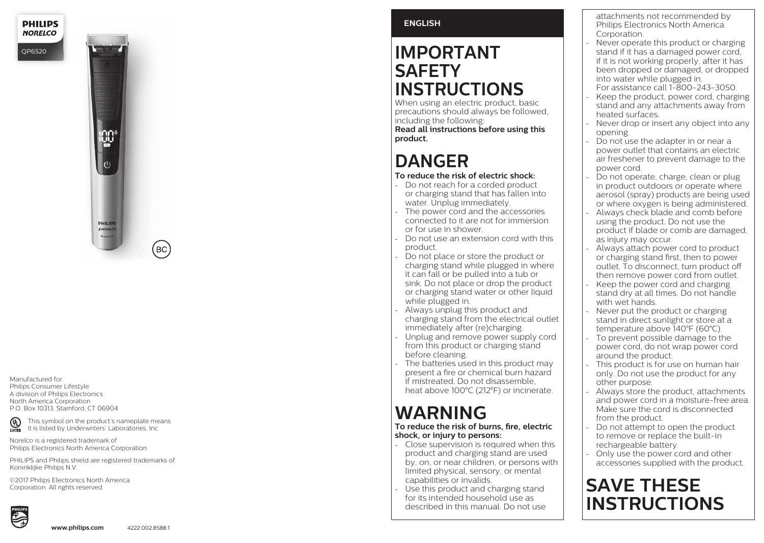**PHILIPS NORELCO** 

QP652 0



Manufactured for: Philips Consumer Lifestyle A division of Philips Electronics North America Corporation P.O. Box 10313, Stamford, CT 06904

This symbol on the product's nameplate means  $\overline{\mathbb{Q}}$ it is listed by Underwriters' Laboratories, Inc.

Norelco is a registered trademark of Philips Electronics North America Corporation.

PHILIPS and Philips shield are registered trademarks of Koninklijke Philips N.V.

©2017 Philips Electronics North America Corporation. All rights reserved.



# **ENGLISH**

# **IMPORTANT SAFETY INSTRUCTIONS**

When using an electric product, basic precautions should always be followed, including the following: **Read all instructions before using this product.**

# **DANGER**

- **To reduce the risk of electric shock:** - Do not reach for a corded product or charging stand that has fallen into water. Unplug immediately.
- The power cord and the accessories connected to it are not for immersion or for use in shower.
- Do not use an extension cord with this product.
- Do not place or store the product or charging stand while plugged in where it can fall or be pulled into a tub or sink. Do not place or drop the product or charging stand water or other liquid while plugged in.
- Always unplug this product and charging stand from the electrical outlet immediately after (re)charging.
- Unplug and remove power supply cord from this product or charging stand before cleaning.
- The batteries used in this product may present a fire or chemical burn hazard if mistreated. Do not disassemble, heat above 100°C (212°F) or incinerate.

# **WARNING**

#### **To reduce the risk of burns, fire, electric shock, or injury to persons:**

- Close supervision is required when this product and charging stand are used by, on, or near children, or persons with limited physical, sensory, or mental capabilities or invalids.
- Use this product and charging stand for its intended household use as described in this manual. Do not use

attachments not recommended by Philips Electronics North America Corporation.

- Never operate this product or charging stand if it has a damaged power cord, if it is not working properly, after it has been dropped or damaged, or dropped into water while plugged in.
- For assistance call 1-800-243-3050. Keep the product, power cord, charging
- stand and any attachments away from heated surfaces.
- Never drop or insert any object into any opening.
- Do not use the adapter in or near a power outlet that contains an electric air freshener to prevent damage to the power cord.
- Do not operate, charge, clean or plug in product outdoors or operate where aerosol (spray) products are being used or where oxygen is being administered.
- Always check blade and comb before using the product. Do not use the product if blade or comb are damaged, as injury may occur.
- Always attach power cord to product or charging stand first, then to power outlet. To disconnect, turn product off then remove power cord from outlet.
- Keep the power cord and charging stand dry at all times. Do not handle with wet hands.
- Never put the product or charging stand in direct sunlight or store at a temperature above 140°F (60°C).
- To prevent possible damage to the power cord, do not wrap power cord around the product.
- This product is for use on human hair only. Do not use the product for any other purpose.
- Always store the product, attachments and power cord in a moisture-free area. Make sure the cord is disconnected from the product.
- Do not attempt to open the product to remove or replace the built-in rechargeable battery.
- Only use the power cord and other accessories supplied with the product.

# **SAVE THESE INSTRUCTIONS**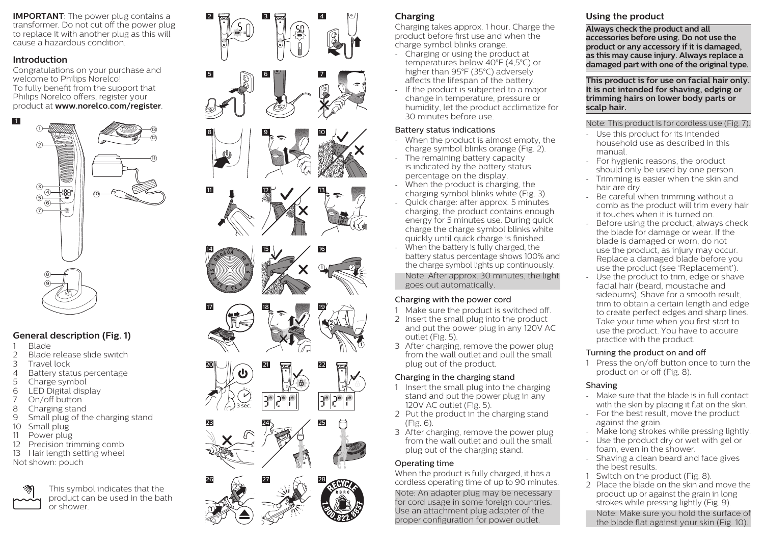**IMPORTANT:** The power plug contains a transformer. Do not cut off the power plug to replace it with another plug as this will cause a hazardous condition.

#### **Introduction**

Congratulations on your purchase and welcome to Philips Norelco! To fully benefit from the support that Philips Norelco offers, register your product at **www.norelco.com/register** .



# **General description (Fig. 1)**

- 
- 1 Blade<br>2 Blade 2 Blade release slide switch<br>3 Travel lock
- 3 Travel lock<br>4 Battery stat
- 4 Battery status percentage<br>5 Charge symbol
- Charge symbol
- 6 LED Digital display<br>  $\frac{7}{2}$  On/off button
- 7 On/off button<br>8 Charging stand
- Charging stand
- 9 Small plug of the charging stand
- 10 Small plug
- 11 Power plug
- 12 Precision trimming comb
- 13 Hair length setting wheel
- Not shown: pouch



This symbol indicates that the product can be used in the bath or shower.



# **Charging**

Charging takes approx. 1 hour. Charge the product before first use and when the charge symbol blinks orange.

- Charging or using the product at temperatures below 40°F (4,5°C) or higher than 95°F (35°C) adversely affects the lifespan of the battery.
- If the product is subjected to a major change in temperature, pressure or humidity, let the product acclimatize for 30 minutes before use.

#### Battery status indications

- When the product is almost empty, the charge symbol blinks orange (Fig. 2).
- The remaining battery capacity is indicated by the battery status percentage on the display.
- When the product is charging, the charging symbol blinks white (Fig. 3).
- Quick charge: after approx. 5 minutes charging, the product contains enough energy for 5 minutes use. During quick charge the charge symbol blinks white quickly until quick charge is finished.
- When the battery is fully charged, the battery status percentage shows 100% and the charge symbol lights up continuously.

Note: After approx. 30 minutes, the light goes out automatically.

# Charging with the power cord

- 1 Make sure the product is switched off.
- 2 Insert the small plug into the product and put the power plug in any 120V AC outlet (Fig. 5).
- 3 After charging, remove the power plug from the wall outlet and pull the small plug out of the product.

# Charging in the charging stand

- 1 Insert the small plug into the charging stand and put the power plug in any 120V AC outlet (Fig. 5).
- 2 Put the product in the charging stand  $(Fip 6)$
- 3 After charging, remove the power plug from the wall outlet and pull the small plug out of the charging stand.

# Operating time

When the product is fully charged, it has a cordless operating time of up to 90 minutes.

Note: An adapter plug may be necessary for cord usage in some foreign countries. Use an attachment plug adapter of the proper configuration for power outlet.

# **Using the product**

**Always check the product and all accessories before using. Do not use the product or any accessory if it is damaged, as this may cause injury. Always replace a damaged part with one of the original type.**

**This product is for use on facial hair only. It is not intended for shaving, edging or trimming hairs on lower body parts or scalp hair.**

# Note: This product is for cordless use (Fig. 7).

- Use this product for its intended household use as described in this manual.
- For hygienic reasons, the product should only be used by one person.
- Trimming is easier when the skin and hair are dry.
- Be careful when trimming without a comb as the product will trim every hair it touches when it is turned on.
- Before using the product, always check the blade for damage or wear. If the blade is damaged or worn, do not use the product, as injury may occur. Replace a damaged blade before you use the product (see 'Replacement').
- Use the product to trim, edge or shave facial hair (beard, moustache and sideburns). Shave for a smooth result, trim to obtain a certain length and edge to create perfect edges and sharp lines. Take your time when you first start to use the product. You have to acquire practice with the product.

# Turning the product on and off

1 Press the on/off button once to turn the product on or off (Fig. 8).

# Shaving

- Make sure that the blade is in full contact with the skin by placing it flat on the skin.
- For the best result, move the product against the grain.
- Make long strokes while pressing lightly.
- Use the product dry or wet with gel or foam, even in the shower.
- Shaving a clean beard and face gives the best results.
- 1 Switch on the product (Fig. 8).
- 2 Place the blade on the skin and move the product up or against the grain in long strokes while pressing lightly (Fig. 9).

Note: Make sure you hold the surface of the blade flat against your skin (Fig. 10).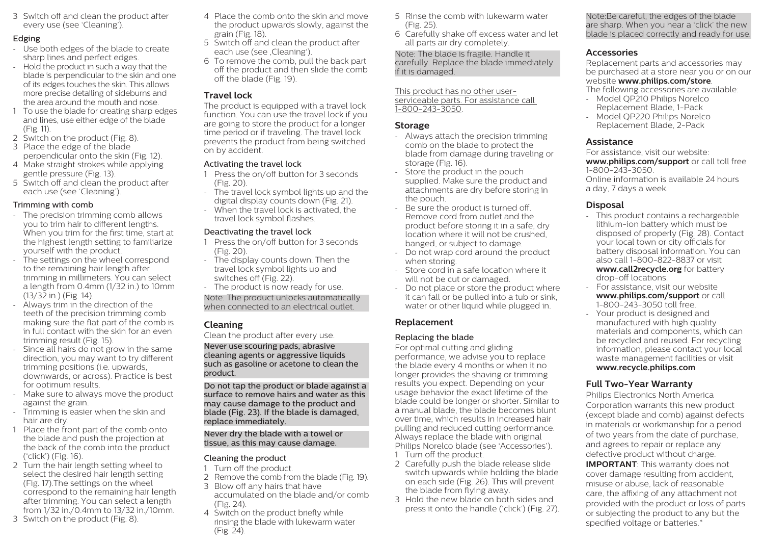3 Switch off and clean the product after every use (see 'Cleaning').

#### Edging

- Use both edges of the blade to create sharp lines and perfect edges.
- Hold the product in such a way that the blade is perpendicular to the skin and one of its edges touches the skin. This allows more precise detailing of sideburns and the area around the mouth and nose.
- 1 To use the blade for creating sharp edges and lines, use either edge of the blade (Fig. 11).
- 2 Switch on the product (Fig. 8).
- 3 Place the edge of the blade perpendicular onto the skin (Fig. 12).
- 4 Make straight strokes while applying gentle pressure (Fig. 13).
- 5 Switch off and clean the product after each use (see 'Cleaning').

#### Trimming with comb

- The precision trimming comb allows you to trim hair to different lengths. When you trim for the first time, start at the highest length setting to familiarize yourself with the product.
- The settings on the wheel correspond to the remaining hair length after trimming in millimeters. You can select a length from 0.4mm (1/32 in.) to 10mm (13/32 in.) (Fig. 14).
- Always trim in the direction of the teeth of the precision trimming comb making sure the flat part of the comb is in full contact with the skin for an even trimming result (Fig. 15).
- Since all hairs do not grow in the same direction, you may want to try different trimming positions (i.e. upwards, downwards, or across). Practice is best for optimum results.
- Make sure to always move the product against the grain.
- Trimming is easier when the skin and hair are dry.
- 1 Place the front part of the comb onto the blade and push the projection at the back of the comb into the product ('click') (Fig. 16).
- 2 Turn the hair length setting wheel to select the desired hair length setting (Fig. 17).The settings on the wheel correspond to the remaining hair length after trimming. You can select a length from 1/32 in./0.4mm to 13/32 in./10mm.
- 3 Switch on the product (Fig. 8).
- 4 Place the comb onto the skin and move the product upwards slowly, against the grain (Fig. 18).
- 5 Switch off and clean the product after each use (see Cleaning').
- 6 To remove the comb, pull the back part off the product and then slide the comb off the blade (Fig. 19).

# **Travel lock**

The product is equipped with a travel lock function. You can use the travel lock if you are going to store the product for a longer time period or if traveling. The travel lock prevents the product from being switched on by accident.

#### Activating the travel lock

- 1 Press the on/off button for 3 seconds (Fig. 20).
- The travel lock symbol lights up and the digital display counts down (Fig. 21).
- When the travel lock is activated, the travel lock symbol flashes.

#### Deactivating the travel lock

- 1 Press the on/off button for 3 seconds (Fig. 20).
- The display counts down. Then the travel lock symbol lights up and switches off (Fig. 22).
- The product is now ready for use.

Note: The product unlocks automatically when connected to an electrical outlet.

# **Cleaning**

Clean the product after every use.

Never use scouring pads, abrasive cleaning agents or aggressive liquids such as gasoline or acetone to clean the product.

Do not tap the product or blade against a surface to remove hairs and water as this may cause damage to the product and blade (Fig. 23). If the blade is damaged, replace immediately.

Never dry the blade with a towel or tissue, as this may cause damage.

# Cleaning the product

- 1 Turn off the product.
- 2 Remove the comb from the blade (Fig. 19). 3 Blow off any hairs that have
- accumulated on the blade and/or comb (Fig. 24). 4 Switch on the product briefly while
- rinsing the blade with lukewarm water (Fig. 24).
- 5 Rinse the comb with lukewarm water (Fig. 25).
- 6 Carefully shake off excess water and let all parts air dry completely.

Note: The blade is fragile. Handle it carefully. Replace the blade immediately if it is damaged.

This product has no other userserviceable parts. For assistance call 1-800-243-3050.

#### **Storage**

- Always attach the precision trimming comb on the blade to protect the blade from damage during traveling or storage (Fig. 16).
- Store the product in the pouch supplied. Make sure the product and attachments are dry before storing in the pouch.
- Be sure the product is turned off. Remove cord from outlet and the product before storing it in a safe, dry location where it will not be crushed, banged, or subject to damage.
- Do not wrap cord around the product when storing.
- Store cord in a safe location where it will not be cut or damaged.
- Do not place or store the product where it can fall or be pulled into a tub or sink, water or other liquid while plugged in.

#### **Replacement**

#### Replacing the blade

For optimal cutting and gliding performance, we advise you to replace the blade every 4 months or when it no longer provides the shaving or trimming results you expect. Depending on your usage behavior the exact lifetime of the blade could be longer or shorter. Similar to a manual blade, the blade becomes blunt over time, which results in increased hair pulling and reduced cutting performance. Always replace the blade with original Philips Norelco blade (see 'Accessories'). 1 Turn off the product.

- 2 Carefully push the blade release slide switch upwards while holding the blade on each side (Fig. 26). This will prevent the blade from flying away.
- 3 Hold the new blade on both sides and press it onto the handle ('click') (Fig. 27).

Note:Be careful, the edges of the blade are sharp. When you hear a 'click' the new blade is placed correctly and ready for use.

### **Accessories**

Replacement parts and accessories may be purchased at a store near you or on our

#### website **www.philips.com/store**.

The following accessories are available:

- Model QP210 Philips Norelco Replacement Blade, 1-Pack
- Model QP220 Philips Norelco Replacement Blade, 2-Pack

#### **Assistance**

For assistance, visit our website: **www.philips.com/support** or call toll free 1-800-243-3050. Online information is available 24 hours a day, 7 days a week.

### **Disposal**

- This product contains a rechargeable lithium-ion battery which must be disposed of properly (Fig. 28). Contact your local town or city officials for battery disposal information. You can also call 1-800-822-8837 or visit **www.call2recycle.org** for battery drop-off locations.
- For assistance, visit our website **www.philips.com/support** or call 1-800-243-3050 toll free.
- Your product is designed and manufactured with high quality materials and components, which can be recycled and reused. For recycling information, please contact your local waste management facilities or visit **www.recycle.philips.com**

# **Full Two-Year Warranty**

Philips Electronics North America Corporation warrants this new product (except blade and comb) against defects in materials or workmanship for a period of two years from the date of purchase, and agrees to repair or replace any defective product without charge. **IMPORTANT**: This warranty does not cover damage resulting from accident, misuse or abuse, lack of reasonable care, the affixing of any attachment not provided with the product or loss of parts or subjecting the product to any but the specified voltage or batteries.\*